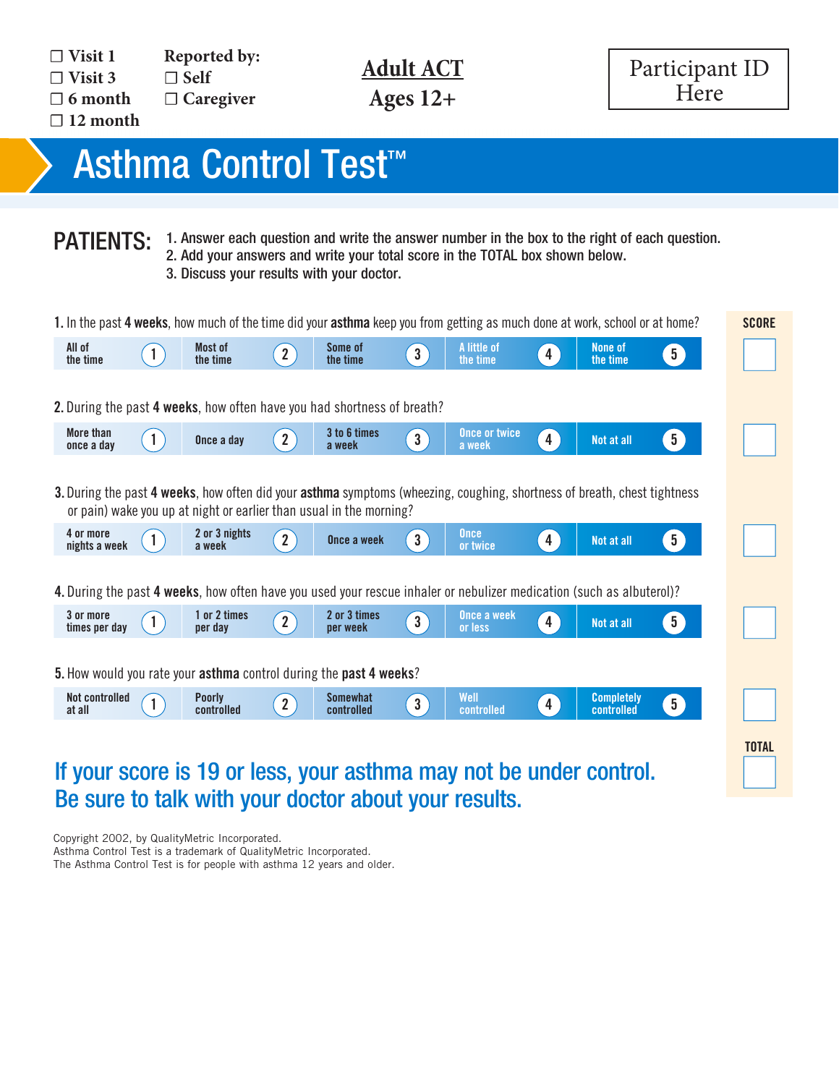**Ages 12+**



## A quick test test test test test test test that  $\mathbf{A}$ Asthma Control Test™ is: 2007 asthma guidelines.

Clinically validated against spirometry and specialist assessment.2

**PATIENTS:** 1. Answer each question and write the answer number in the box to the right of each question. 2. Add your answers and write your total score in the TOTAL box shown below. The National Institute of Health (NIH) is 2007 as the NATIONAL INSTITUTES of Health (NIH) in its 2007 as the N<br>3. Discuss your results with your doctor.

|                         |     | 1. In the past 4 weeks, how much of the time did your asthma keep you from getting as much done at work, school or at home? |             |                                                                                    |                                                 |                                                                                                                      |   |                     |                |
|-------------------------|-----|-----------------------------------------------------------------------------------------------------------------------------|-------------|------------------------------------------------------------------------------------|-------------------------------------------------|----------------------------------------------------------------------------------------------------------------------|---|---------------------|----------------|
| All of<br>the time      |     | Most of<br>the time                                                                                                         | $2^{\circ}$ | Some of<br>the time                                                                | $\left  3 \right\rangle$                        | A little of<br>the time                                                                                              | 4 | None of<br>the time | 5 <sup>1</sup> |
|                         |     |                                                                                                                             |             | 2. During the past 4 weeks, how often have you had shortness of breath?            |                                                 |                                                                                                                      |   |                     |                |
| More than<br>once a day |     | Once a day                                                                                                                  | $2^{\circ}$ | 3 to 6 times<br>a week                                                             | $\left  \begin{array}{c} 3 \end{array} \right $ | Once or twice<br>a week                                                                                              |   | Not at all          | 5 <sup>2</sup> |
| 4 or more               |     | 2 or 3 nights                                                                                                               | $2^{\circ}$ | or pain) wake you up at night or earlier than usual in the morning?<br>Once a week | $\left 3\right\rangle$                          | <b>Once</b>                                                                                                          |   | Not at all          | 5 <sup>2</sup> |
| nights a week           | -1. | a week                                                                                                                      |             |                                                                                    |                                                 | or twice                                                                                                             | 4 |                     |                |
|                         |     |                                                                                                                             |             |                                                                                    |                                                 | 4. During the past 4 weeks, how often have you used your rescue inhaler or nebulizer medication (such as albuterol)? |   |                     |                |

## If your score is 19 or less, your asthma may not be under control. Be sure to talk with your doctor about your results. **8e sure to talk with your doctor al** t<mark>or about your re</mark> <mark>l</mark> oour **Be sure to talk w** alk with your doc **example of the deal of the dead of the dead of the dead of the dead of the dead of the dead of the dead of the dead of the dead of the dead of the dead of the dead of the dead of the dead of the dead of the dead of the de** ur results

Copyright 2002, by QualityMetric Incorporated. Asthma Control Test is a trademark of QualityMetric Incorporated.

From a control Test is a diagoniant of diamery incorporation.